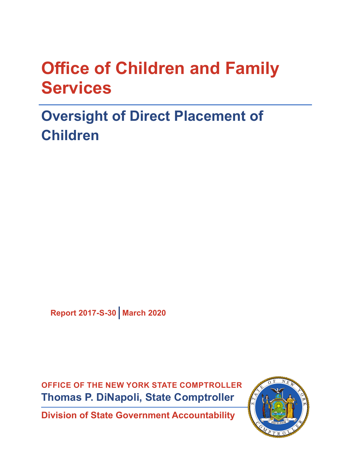# **Office of Children and Family Services**

# **Oversight of Direct Placement of Children**

**Report 2017-S-30 March 2020**

**OFFICE OF THE NEW YORK STATE COMPTROLLER Thomas P. DiNapoli, State Comptroller**

**Division of State Government Accountability**

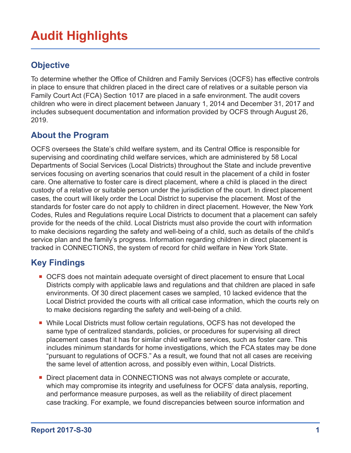# **Audit Highlights**

### **Objective**

To determine whether the Office of Children and Family Services (OCFS) has effective controls in place to ensure that children placed in the direct care of relatives or a suitable person via Family Court Act (FCA) Section 1017 are placed in a safe environment. The audit covers children who were in direct placement between January 1, 2014 and December 31, 2017 and includes subsequent documentation and information provided by OCFS through August 26, 2019.

### **About the Program**

OCFS oversees the State's child welfare system, and its Central Office is responsible for supervising and coordinating child welfare services, which are administered by 58 Local Departments of Social Services (Local Districts) throughout the State and include preventive services focusing on averting scenarios that could result in the placement of a child in foster care. One alternative to foster care is direct placement, where a child is placed in the direct custody of a relative or suitable person under the jurisdiction of the court. In direct placement cases, the court will likely order the Local District to supervise the placement. Most of the standards for foster care do not apply to children in direct placement. However, the New York Codes, Rules and Regulations require Local Districts to document that a placement can safely provide for the needs of the child. Local Districts must also provide the court with information to make decisions regarding the safety and well-being of a child, such as details of the child's service plan and the family's progress. Information regarding children in direct placement is tracked in CONNECTIONS, the system of record for child welfare in New York State.

### **Key Findings**

- OCFS does not maintain adequate oversight of direct placement to ensure that Local Districts comply with applicable laws and regulations and that children are placed in safe environments. Of 30 direct placement cases we sampled, 10 lacked evidence that the Local District provided the courts with all critical case information, which the courts rely on to make decisions regarding the safety and well-being of a child.
- While Local Districts must follow certain regulations, OCFS has not developed the same type of centralized standards, policies, or procedures for supervising all direct placement cases that it has for similar child welfare services, such as foster care. This includes minimum standards for home investigations, which the FCA states may be done "pursuant to regulations of OCFS." As a result, we found that not all cases are receiving the same level of attention across, and possibly even within, Local Districts.
- Direct placement data in CONNECTIONS was not always complete or accurate, which may compromise its integrity and usefulness for OCFS' data analysis, reporting, and performance measure purposes, as well as the reliability of direct placement case tracking. For example, we found discrepancies between source information and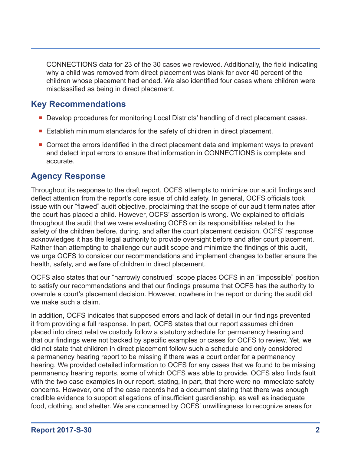CONNECTIONS data for 23 of the 30 cases we reviewed. Additionally, the field indicating why a child was removed from direct placement was blank for over 40 percent of the children whose placement had ended. We also identified four cases where children were misclassified as being in direct placement.

### **Key Recommendations**

- Develop procedures for monitoring Local Districts' handling of direct placement cases.
- **Establish minimum standards for the safety of children in direct placement.**
- **Correct the errors identified in the direct placement data and implement ways to prevent** and detect input errors to ensure that information in CONNECTIONS is complete and accurate.

### **Agency Response**

Throughout its response to the draft report, OCFS attempts to minimize our audit findings and deflect attention from the report's core issue of child safety. In general, OCFS officials took issue with our "flawed" audit objective, proclaiming that the scope of our audit terminates after the court has placed a child. However, OCFS' assertion is wrong. We explained to officials throughout the audit that we were evaluating OCFS on its responsibilities related to the safety of the children before, during, and after the court placement decision. OCFS' response acknowledges it has the legal authority to provide oversight before and after court placement. Rather than attempting to challenge our audit scope and minimize the findings of this audit, we urge OCFS to consider our recommendations and implement changes to better ensure the health, safety, and welfare of children in direct placement.

OCFS also states that our "narrowly construed" scope places OCFS in an "impossible" position to satisfy our recommendations and that our findings presume that OCFS has the authority to overrule a court's placement decision. However, nowhere in the report or during the audit did we make such a claim.

In addition, OCFS indicates that supposed errors and lack of detail in our findings prevented it from providing a full response. In part, OCFS states that our report assumes children placed into direct relative custody follow a statutory schedule for permanency hearing and that our findings were not backed by specific examples or cases for OCFS to review. Yet, we did not state that children in direct placement follow such a schedule and only considered a permanency hearing report to be missing if there was a court order for a permanency hearing. We provided detailed information to OCFS for any cases that we found to be missing permanency hearing reports, some of which OCFS was able to provide. OCFS also finds fault with the two case examples in our report, stating, in part, that there were no immediate safety concerns. However, one of the case records had a document stating that there was enough credible evidence to support allegations of insufficient guardianship, as well as inadequate food, clothing, and shelter. We are concerned by OCFS' unwillingness to recognize areas for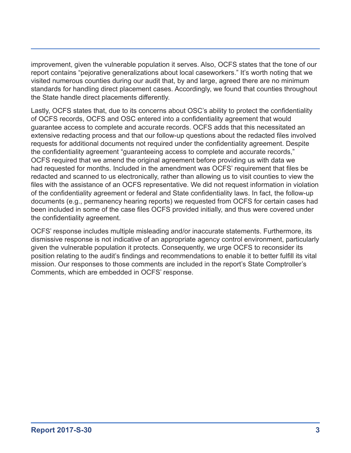improvement, given the vulnerable population it serves. Also, OCFS states that the tone of our report contains "pejorative generalizations about local caseworkers." It's worth noting that we visited numerous counties during our audit that, by and large, agreed there are no minimum standards for handling direct placement cases. Accordingly, we found that counties throughout the State handle direct placements differently.

Lastly, OCFS states that, due to its concerns about OSC's ability to protect the confidentiality of OCFS records, OCFS and OSC entered into a confidentiality agreement that would guarantee access to complete and accurate records. OCFS adds that this necessitated an extensive redacting process and that our follow-up questions about the redacted files involved requests for additional documents not required under the confidentiality agreement. Despite the confidentiality agreement "guaranteeing access to complete and accurate records," OCFS required that we amend the original agreement before providing us with data we had requested for months. Included in the amendment was OCFS' requirement that files be redacted and scanned to us electronically, rather than allowing us to visit counties to view the files with the assistance of an OCFS representative. We did not request information in violation of the confidentiality agreement or federal and State confidentiality laws. In fact, the follow-up documents (e.g., permanency hearing reports) we requested from OCFS for certain cases had been included in some of the case files OCFS provided initially, and thus were covered under the confidentiality agreement.

OCFS' response includes multiple misleading and/or inaccurate statements. Furthermore, its dismissive response is not indicative of an appropriate agency control environment, particularly given the vulnerable population it protects. Consequently, we urge OCFS to reconsider its position relating to the audit's findings and recommendations to enable it to better fulfill its vital mission. Our responses to those comments are included in the report's State Comptroller's Comments, which are embedded in OCFS' response.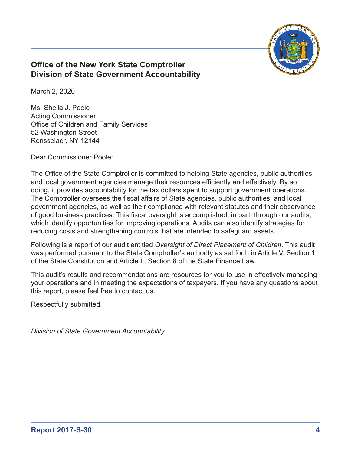

### **Office of the New York State Comptroller Division of State Government Accountability**

March 2, 2020

Ms. Sheila J. Poole Acting Commissioner Office of Children and Family Services 52 Washington Street Rensselaer, NY 12144

Dear Commissioner Poole:

The Office of the State Comptroller is committed to helping State agencies, public authorities, and local government agencies manage their resources efficiently and effectively. By so doing, it provides accountability for the tax dollars spent to support government operations. The Comptroller oversees the fiscal affairs of State agencies, public authorities, and local government agencies, as well as their compliance with relevant statutes and their observance of good business practices. This fiscal oversight is accomplished, in part, through our audits, which identify opportunities for improving operations. Audits can also identify strategies for reducing costs and strengthening controls that are intended to safeguard assets.

Following is a report of our audit entitled *Oversight of Direct Placement of Children*. This audit was performed pursuant to the State Comptroller's authority as set forth in Article V, Section 1 of the State Constitution and Article II, Section 8 of the State Finance Law.

This audit's results and recommendations are resources for you to use in effectively managing your operations and in meeting the expectations of taxpayers. If you have any questions about this report, please feel free to contact us.

Respectfully submitted,

*Division of State Government Accountability*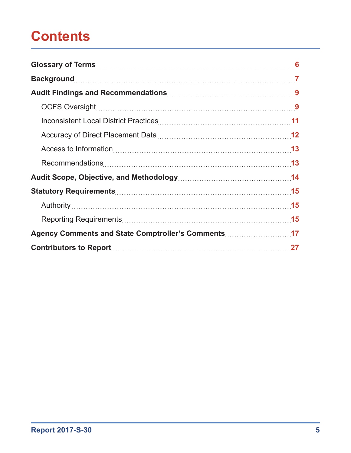# **Contents**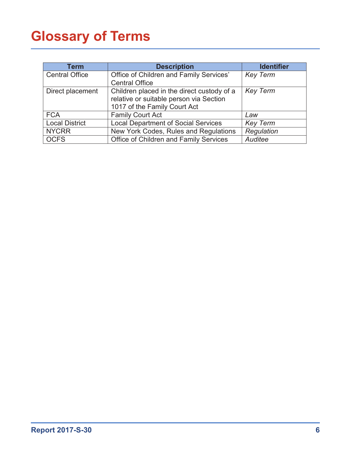# <span id="page-6-0"></span>**Glossary of Terms**

| Term                  | <b>Description</b>                         | <b>Identifier</b> |
|-----------------------|--------------------------------------------|-------------------|
| <b>Central Office</b> | Office of Children and Family Services'    | <b>Key Term</b>   |
|                       | <b>Central Office</b>                      |                   |
| Direct placement      | Children placed in the direct custody of a | <b>Key Term</b>   |
|                       | relative or suitable person via Section    |                   |
|                       | 1017 of the Family Court Act               |                   |
| <b>FCA</b>            | <b>Family Court Act</b>                    | Law               |
| <b>Local District</b> | <b>Local Department of Social Services</b> | <b>Key Term</b>   |
| <b>NYCRR</b>          | New York Codes, Rules and Regulations      | Regulation        |
| <b>OCFS</b>           | Office of Children and Family Services     | Auditee           |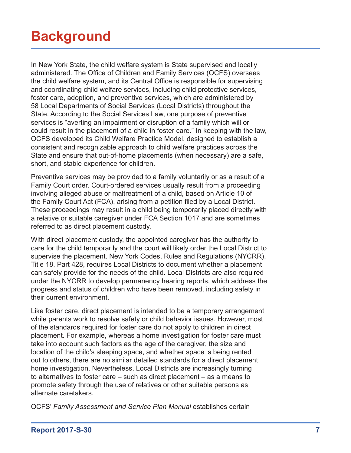# <span id="page-7-0"></span>**Background**

In New York State, the child welfare system is State supervised and locally administered. The Office of Children and Family Services (OCFS) oversees the child welfare system, and its Central Office is responsible for supervising and coordinating child welfare services, including child protective services, foster care, adoption, and preventive services, which are administered by 58 Local Departments of Social Services (Local Districts) throughout the State. According to the Social Services Law, one purpose of preventive services is "averting an impairment or disruption of a family which will or could result in the placement of a child in foster care." In keeping with the law, OCFS developed its Child Welfare Practice Model, designed to establish a consistent and recognizable approach to child welfare practices across the State and ensure that out-of-home placements (when necessary) are a safe, short, and stable experience for children.

Preventive services may be provided to a family voluntarily or as a result of a Family Court order. Court-ordered services usually result from a proceeding involving alleged abuse or maltreatment of a child, based on Article 10 of the Family Court Act (FCA), arising from a petition filed by a Local District. These proceedings may result in a child being temporarily placed directly with a relative or suitable caregiver under FCA Section 1017 and are sometimes referred to as direct placement custody.

With direct placement custody, the appointed caregiver has the authority to care for the child temporarily and the court will likely order the Local District to supervise the placement. New York Codes, Rules and Regulations (NYCRR), Title 18, Part 428, requires Local Districts to document whether a placement can safely provide for the needs of the child. Local Districts are also required under the NYCRR to develop permanency hearing reports, which address the progress and status of children who have been removed, including safety in their current environment.

Like foster care, direct placement is intended to be a temporary arrangement while parents work to resolve safety or child behavior issues. However, most of the standards required for foster care do not apply to children in direct placement. For example, whereas a home investigation for foster care must take into account such factors as the age of the caregiver, the size and location of the child's sleeping space, and whether space is being rented out to others, there are no similar detailed standards for a direct placement home investigation. Nevertheless, Local Districts are increasingly turning to alternatives to foster care – such as direct placement – as a means to promote safety through the use of relatives or other suitable persons as alternate caretakers.

OCFS' *Family Assessment and Service Plan Manual* establishes certain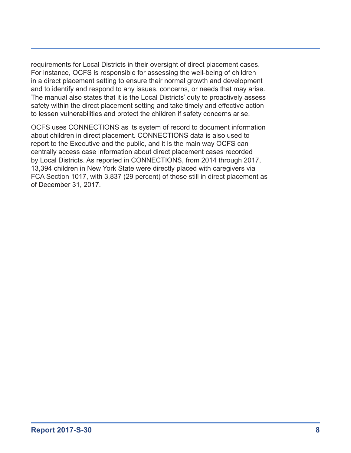requirements for Local Districts in their oversight of direct placement cases. For instance, OCFS is responsible for assessing the well-being of children in a direct placement setting to ensure their normal growth and development and to identify and respond to any issues, concerns, or needs that may arise. The manual also states that it is the Local Districts' duty to proactively assess safety within the direct placement setting and take timely and effective action to lessen vulnerabilities and protect the children if safety concerns arise.

OCFS uses CONNECTIONS as its system of record to document information about children in direct placement. CONNECTIONS data is also used to report to the Executive and the public, and it is the main way OCFS can centrally access case information about direct placement cases recorded by Local Districts. As reported in CONNECTIONS, from 2014 through 2017, 13,394 children in New York State were directly placed with caregivers via FCA Section 1017, with 3,837 (29 percent) of those still in direct placement as of December 31, 2017.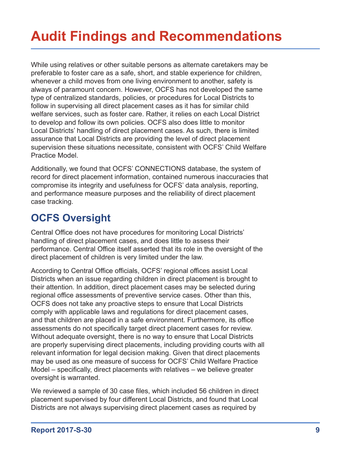# <span id="page-9-0"></span>**Audit Findings and Recommendations**

While using relatives or other suitable persons as alternate caretakers may be preferable to foster care as a safe, short, and stable experience for children, whenever a child moves from one living environment to another, safety is always of paramount concern. However, OCFS has not developed the same type of centralized standards, policies, or procedures for Local Districts to follow in supervising all direct placement cases as it has for similar child welfare services, such as foster care. Rather, it relies on each Local District to develop and follow its own policies. OCFS also does little to monitor Local Districts' handling of direct placement cases. As such, there is limited assurance that Local Districts are providing the level of direct placement supervision these situations necessitate, consistent with OCFS' Child Welfare Practice Model.

Additionally, we found that OCFS' CONNECTIONS database, the system of record for direct placement information, contained numerous inaccuracies that compromise its integrity and usefulness for OCFS' data analysis, reporting, and performance measure purposes and the reliability of direct placement case tracking.

## **OCFS Oversight**

Central Office does not have procedures for monitoring Local Districts' handling of direct placement cases, and does little to assess their performance. Central Office itself asserted that its role in the oversight of the direct placement of children is very limited under the law.

According to Central Office officials, OCFS' regional offices assist Local Districts when an issue regarding children in direct placement is brought to their attention. In addition, direct placement cases may be selected during regional office assessments of preventive service cases. Other than this, OCFS does not take any proactive steps to ensure that Local Districts comply with applicable laws and regulations for direct placement cases, and that children are placed in a safe environment. Furthermore, its office assessments do not specifically target direct placement cases for review. Without adequate oversight, there is no way to ensure that Local Districts are properly supervising direct placements, including providing courts with all relevant information for legal decision making. Given that direct placements may be used as one measure of success for OCFS' Child Welfare Practice Model – specifically, direct placements with relatives – we believe greater oversight is warranted.

We reviewed a sample of 30 case files, which included 56 children in direct placement supervised by four different Local Districts, and found that Local Districts are not always supervising direct placement cases as required by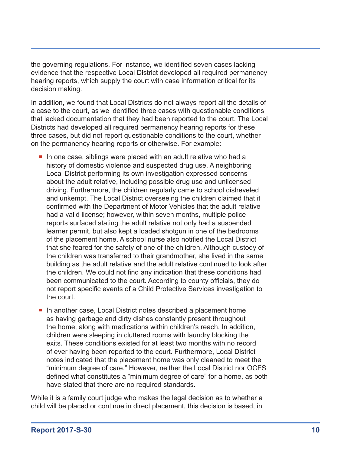the governing regulations. For instance, we identified seven cases lacking evidence that the respective Local District developed all required permanency hearing reports, which supply the court with case information critical for its decision making.

In addition, we found that Local Districts do not always report all the details of a case to the court, as we identified three cases with questionable conditions that lacked documentation that they had been reported to the court. The Local Districts had developed all required permanency hearing reports for these three cases, but did not report questionable conditions to the court, whether on the permanency hearing reports or otherwise. For example:

- In one case, siblings were placed with an adult relative who had a history of domestic violence and suspected drug use. A neighboring Local District performing its own investigation expressed concerns about the adult relative, including possible drug use and unlicensed driving. Furthermore, the children regularly came to school disheveled and unkempt. The Local District overseeing the children claimed that it confirmed with the Department of Motor Vehicles that the adult relative had a valid license; however, within seven months, multiple police reports surfaced stating the adult relative not only had a suspended learner permit, but also kept a loaded shotgun in one of the bedrooms of the placement home. A school nurse also notified the Local District that she feared for the safety of one of the children. Although custody of the children was transferred to their grandmother, she lived in the same building as the adult relative and the adult relative continued to look after the children. We could not find any indication that these conditions had been communicated to the court. According to county officials, they do not report specific events of a Child Protective Services investigation to the court.
- In another case, Local District notes described a placement home as having garbage and dirty dishes constantly present throughout the home, along with medications within children's reach. In addition, children were sleeping in cluttered rooms with laundry blocking the exits. These conditions existed for at least two months with no record of ever having been reported to the court. Furthermore, Local District notes indicated that the placement home was only cleaned to meet the "minimum degree of care." However, neither the Local District nor OCFS defined what constitutes a "minimum degree of care" for a home, as both have stated that there are no required standards.

While it is a family court judge who makes the legal decision as to whether a child will be placed or continue in direct placement, this decision is based, in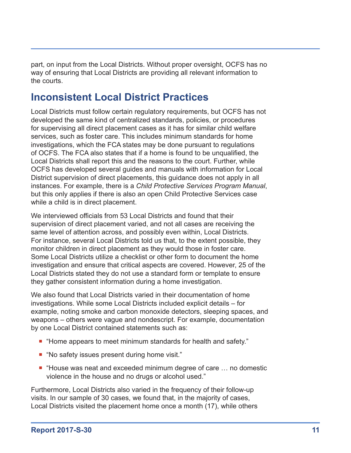<span id="page-11-0"></span>part, on input from the Local Districts. Without proper oversight, OCFS has no way of ensuring that Local Districts are providing all relevant information to the courts.

## **Inconsistent Local District Practices**

Local Districts must follow certain regulatory requirements, but OCFS has not developed the same kind of centralized standards, policies, or procedures for supervising all direct placement cases as it has for similar child welfare services, such as foster care. This includes minimum standards for home investigations, which the FCA states may be done pursuant to regulations of OCFS. The FCA also states that if a home is found to be unqualified, the Local Districts shall report this and the reasons to the court. Further, while OCFS has developed several guides and manuals with information for Local District supervision of direct placements, this guidance does not apply in all instances. For example, there is a *Child Protective Services Program Manual*, but this only applies if there is also an open Child Protective Services case while a child is in direct placement.

We interviewed officials from 53 Local Districts and found that their supervision of direct placement varied, and not all cases are receiving the same level of attention across, and possibly even within, Local Districts. For instance, several Local Districts told us that, to the extent possible, they monitor children in direct placement as they would those in foster care. Some Local Districts utilize a checklist or other form to document the home investigation and ensure that critical aspects are covered. However, 25 of the Local Districts stated they do not use a standard form or template to ensure they gather consistent information during a home investigation.

We also found that Local Districts varied in their documentation of home investigations. While some Local Districts included explicit details – for example, noting smoke and carbon monoxide detectors, sleeping spaces, and weapons – others were vague and nondescript. For example, documentation by one Local District contained statements such as:

- "Home appears to meet minimum standards for health and safety."
- "No safety issues present during home visit."
- "House was neat and exceeded minimum degree of care ... no domestic violence in the house and no drugs or alcohol used."

Furthermore, Local Districts also varied in the frequency of their follow-up visits. In our sample of 30 cases, we found that, in the majority of cases, Local Districts visited the placement home once a month (17), while others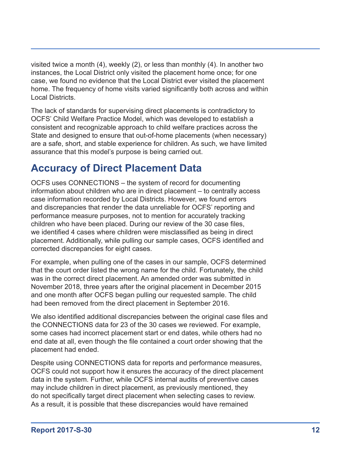<span id="page-12-0"></span>visited twice a month (4), weekly (2), or less than monthly (4). In another two instances, the Local District only visited the placement home once; for one case, we found no evidence that the Local District ever visited the placement home. The frequency of home visits varied significantly both across and within Local Districts.

The lack of standards for supervising direct placements is contradictory to OCFS' Child Welfare Practice Model, which was developed to establish a consistent and recognizable approach to child welfare practices across the State and designed to ensure that out-of-home placements (when necessary) are a safe, short, and stable experience for children. As such, we have limited assurance that this model's purpose is being carried out.

## **Accuracy of Direct Placement Data**

OCFS uses CONNECTIONS – the system of record for documenting information about children who are in direct placement – to centrally access case information recorded by Local Districts. However, we found errors and discrepancies that render the data unreliable for OCFS' reporting and performance measure purposes, not to mention for accurately tracking children who have been placed. During our review of the 30 case files, we identified 4 cases where children were misclassified as being in direct placement. Additionally, while pulling our sample cases, OCFS identified and corrected discrepancies for eight cases.

For example, when pulling one of the cases in our sample, OCFS determined that the court order listed the wrong name for the child. Fortunately, the child was in the correct direct placement. An amended order was submitted in November 2018, three years after the original placement in December 2015 and one month after OCFS began pulling our requested sample. The child had been removed from the direct placement in September 2016.

We also identified additional discrepancies between the original case files and the CONNECTIONS data for 23 of the 30 cases we reviewed. For example, some cases had incorrect placement start or end dates, while others had no end date at all, even though the file contained a court order showing that the placement had ended.

Despite using CONNECTIONS data for reports and performance measures, OCFS could not support how it ensures the accuracy of the direct placement data in the system. Further, while OCFS internal audits of preventive cases may include children in direct placement, as previously mentioned, they do not specifically target direct placement when selecting cases to review. As a result, it is possible that these discrepancies would have remained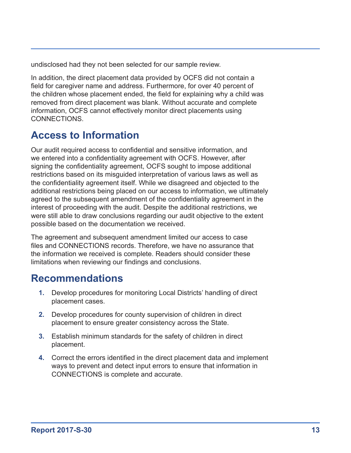<span id="page-13-0"></span>undisclosed had they not been selected for our sample review.

In addition, the direct placement data provided by OCFS did not contain a field for caregiver name and address. Furthermore, for over 40 percent of the children whose placement ended, the field for explaining why a child was removed from direct placement was blank. Without accurate and complete information, OCFS cannot effectively monitor direct placements using CONNECTIONS.

## **Access to Information**

Our audit required access to confidential and sensitive information, and we entered into a confidentiality agreement with OCFS. However, after signing the confidentiality agreement, OCFS sought to impose additional restrictions based on its misguided interpretation of various laws as well as the confidentiality agreement itself. While we disagreed and objected to the additional restrictions being placed on our access to information, we ultimately agreed to the subsequent amendment of the confidentiality agreement in the interest of proceeding with the audit. Despite the additional restrictions, we were still able to draw conclusions regarding our audit objective to the extent possible based on the documentation we received.

The agreement and subsequent amendment limited our access to case files and CONNECTIONS records. Therefore, we have no assurance that the information we received is complete. Readers should consider these limitations when reviewing our findings and conclusions.

### **Recommendations**

- **1.** Develop procedures for monitoring Local Districts' handling of direct placement cases.
- **2.** Develop procedures for county supervision of children in direct placement to ensure greater consistency across the State.
- **3.** Establish minimum standards for the safety of children in direct placement.
- **4.** Correct the errors identified in the direct placement data and implement ways to prevent and detect input errors to ensure that information in CONNECTIONS is complete and accurate.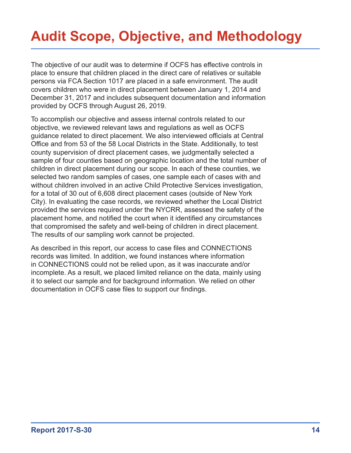# <span id="page-14-0"></span>**Audit Scope, Objective, and Methodology**

The objective of our audit was to determine if OCFS has effective controls in place to ensure that children placed in the direct care of relatives or suitable persons via FCA Section 1017 are placed in a safe environment. The audit covers children who were in direct placement between January 1, 2014 and December 31, 2017 and includes subsequent documentation and information provided by OCFS through August 26, 2019.

To accomplish our objective and assess internal controls related to our objective, we reviewed relevant laws and regulations as well as OCFS guidance related to direct placement. We also interviewed officials at Central Office and from 53 of the 58 Local Districts in the State. Additionally, to test county supervision of direct placement cases, we judgmentally selected a sample of four counties based on geographic location and the total number of children in direct placement during our scope. In each of these counties, we selected two random samples of cases, one sample each of cases with and without children involved in an active Child Protective Services investigation, for a total of 30 out of 6,608 direct placement cases (outside of New York City). In evaluating the case records, we reviewed whether the Local District provided the services required under the NYCRR, assessed the safety of the placement home, and notified the court when it identified any circumstances that compromised the safety and well-being of children in direct placement. The results of our sampling work cannot be projected.

As described in this report, our access to case files and CONNECTIONS records was limited. In addition, we found instances where information in CONNECTIONS could not be relied upon, as it was inaccurate and/or incomplete. As a result, we placed limited reliance on the data, mainly using it to select our sample and for background information. We relied on other documentation in OCFS case files to support our findings.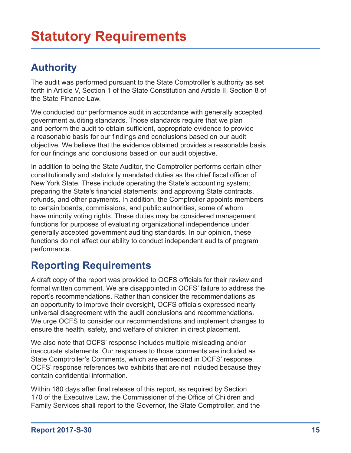## <span id="page-15-0"></span>**Authority**

The audit was performed pursuant to the State Comptroller's authority as set forth in Article V, Section 1 of the State Constitution and Article II, Section 8 of the State Finance Law

We conducted our performance audit in accordance with generally accepted government auditing standards. Those standards require that we plan and perform the audit to obtain sufficient, appropriate evidence to provide a reasonable basis for our findings and conclusions based on our audit objective. We believe that the evidence obtained provides a reasonable basis for our findings and conclusions based on our audit objective.

In addition to being the State Auditor, the Comptroller performs certain other constitutionally and statutorily mandated duties as the chief fiscal officer of New York State. These include operating the State's accounting system; preparing the State's financial statements; and approving State contracts, refunds, and other payments. In addition, the Comptroller appoints members to certain boards, commissions, and public authorities, some of whom have minority voting rights. These duties may be considered management functions for purposes of evaluating organizational independence under generally accepted government auditing standards. In our opinion, these functions do not affect our ability to conduct independent audits of program performance.

## **Reporting Requirements**

A draft copy of the report was provided to OCFS officials for their review and formal written comment. We are disappointed in OCFS' failure to address the report's recommendations. Rather than consider the recommendations as an opportunity to improve their oversight, OCFS officials expressed nearly universal disagreement with the audit conclusions and recommendations. We urge OCFS to consider our recommendations and implement changes to ensure the health, safety, and welfare of children in direct placement.

We also note that OCFS' response includes multiple misleading and/or inaccurate statements. Our responses to those comments are included as State Comptroller's Comments, which are embedded in OCFS' response. OCFS' response references two exhibits that are not included because they contain confidential information.

Within 180 days after final release of this report, as required by Section 170 of the Executive Law, the Commissioner of the Office of Children and Family Services shall report to the Governor, the State Comptroller, and the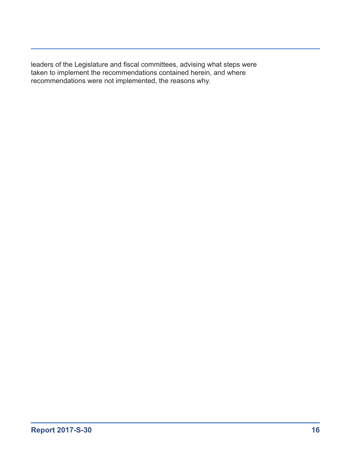leaders of the Legislature and fiscal committees, advising what steps were taken to implement the recommendations contained herein, and where recommendations were not implemented, the reasons why.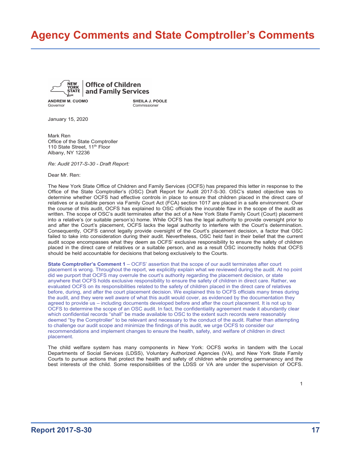## <span id="page-17-0"></span>**Agency Comments and State Comptroller's Comments**



#### **Office of Children** and Family Services

**ANDREW M. CUOMO SHEILA J. POOLE**

Commissioner

January 15, 2020

Mark Ren Office of the State Comptroller 110 State Street, 11<sup>th</sup> Floor Albany, NY 12236

*Re: Audit 2017-S-30 - Draft Report:*

Dear Mr. Ren:

The New York State Office of Children and Family Services (OCFS) has prepared this letter in response to the Office of the State Comptroller's (OSC) Draft Report for Audit 2017-S-30. OSC's stated objective was to determine whether OCFS had effective controls in place to ensure that children placed in the direct care of relatives or a suitable person via Family Court Act (FCA) section 1017 are placed in a safe environment. Over the course of this audit, OCFS has explained to OSC officials the incurable flaw in the scope of the audit as written. The scope of OSC's audit terminates after the act of a New York State Family Court (Court) placement into a relative's (or suitable person's) home. While OCFS has the legal authority to provide oversight prior to and after the Court's placement, OCFS lacks the legal authority to interfere with the Court's determination. Consequently, OCFS cannot legally provide oversight of the Court's placement decision, a factor that OSC failed to take into consideration during their audit. Nevertheless, OSC held fast in their belief that the current audit scope encompasses what they deem as OCFS' exclusive responsibility to ensure the safety of children placed in the direct care of relatives or a suitable person, and as a result OSC incorrectly holds that OCFS should be held accountable for decisions that belong exclusively to the Courts.

**State Comptroller's Comment 1** – OCFS' assertion that the scope of our audit terminates after court placement is wrong. Throughout the report, we explicitly explain what we reviewed during the audit. At no point did we purport that OCFS may overrule the court's authority regarding the placement decision, or state anywhere that OCFS holds exclusive responsibility to ensure the safety of children in direct care. Rather, we evaluated OCFS on its responsibilities related to the safety of children placed in the direct care of relatives before, during, and after the court placement decision. We explained this to OCFS officials many times during the audit, and they were well aware of what this audit would cover, as evidenced by the documentation they agreed to provide us – including documents developed before and after the court placement. It is not up to OCFS to determine the scope of an OSC audit. In fact, the confidentiality agreement made it abundantly clear which confidential records "shall" be made available to OSC to the extent such records were reasonably deemed "by the Comptroller" to be relevant and necessary to the conduct of the audit. Rather than attempting to challenge our audit scope and minimize the findings of this audit, we urge OCFS to consider our recommendations and implement changes to ensure the health, safety, and welfare of children in direct placement.

The child welfare system has many components in New York: OCFS works in tandem with the Local Departments of Social Services (LDSS), Voluntary Authorized Agencies (VA), and New York State Family Courts to pursue actions that protect the health and safety of children while promoting permanency and the best interests of the child. Some responsibilities of the LDSS or VA are under the supervision of OCFS.

1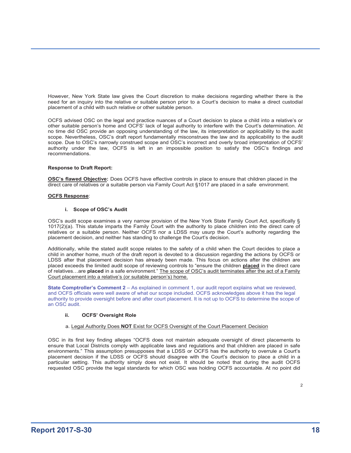However, New York State law gives the Court discretion to make decisions regarding whether there is the need for an inquiry into the relative or suitable person prior to a Court's decision to make a direct custodial placement of a child with such relative or other suitable person.

OCFS advised OSC on the legal and practice nuances of a Court decision to place a child into a relative's or other suitable person's home and OCFS' lack of legal authority to interfere with the Court's determination. At no time did OSC provide an opposing understanding of the law, its interpretation or applicability to the audit scope. Nevertheless, OSC's draft report fundamentally misconstrues the law and its applicability to the audit scope. Due to OSC's narrowly construed scope and OSC's incorrect and overly broad interpretation of OCFS' authority under the law, OCFS is left in an impossible position to satisfy the OSC's findings and recommendations.

#### **Response to Draft Report:**

**OSC's flawed Objective:** Does OCFS have effective controls in place to ensure that children placed in the direct care of relatives or a suitable person via Family Court Act §1017 are placed in a safe environment.

#### **OCFS Response**:

#### **i. Scope of OSC's Audit**

OSC's audit scope examines a very narrow provision of the New York State Family Court Act, specifically § 1017(2)(a). This statute imparts the Family Court with the authority to place children into the direct care of relatives or a suitable person. Neither OCFS nor a LDSS may usurp the Court's authority regarding the placement decision, and neither has standing to challenge the Court's decision.

Additionally, while the stated audit scope relates to the safety of a child when the Court decides to place a child in another home, much of the draft report is devoted to a discussion regarding the actions by OCFS or LDSS after that placement decision has already been made. This focus on actions after the children are placed exceeds the limited audit scope of reviewing controls to "ensure the children **placed** in the direct care of relatives…are **placed** in a safe environment." The scope of OSC's audit terminates after the act of a Family Court placement into a relative's (or suitable person's) home.

**State Comptroller's Comment 2** – As explained in comment 1, our audit report explains what we reviewed, and OCFS officials were well aware of what our scope included. OCFS acknowledges above it has the legal authority to provide oversight before and after court placement. It is not up to OCFS to determine the scope of an OSC audit.

#### **ii. OCFS' Oversight Role**

#### a. Legal Authority Does **NOT** Exist for OCFS Oversight of the Court Placement Decision

OSC in its first key finding alleges "OCFS does not maintain adequate oversight of direct placements to ensure that Local Districts comply with applicable laws and regulations and that children are placed in safe environments." This assumption presupposes that a LDSS or OCFS has the authority to overrule a Court's placement decision if the LDSS or OCFS should disagree with the Court's decision to place a child in a particular setting. This authority simply does not exist. It should be noted that during the audit OCFS requested OSC provide the legal standards for which OSC was holding OCFS accountable. At no point did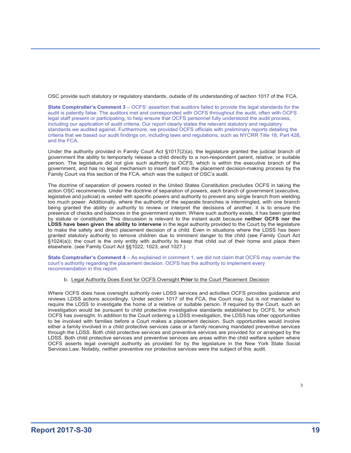OSC provide such statutory or regulatory standards, outside of its understanding of section 1017 of the FCA.

**State Comptroller's Comment 3** – OCFS' assertion that auditors failed to provide the legal standards for the audit is patently false. The auditors met and corresponded with OCFS throughout the audit, often with OCFS legal staff present or participating, to help ensure that OCFS personnel fully understood the audit process, including our application of audit criteria. Our report clearly states the relevant statutory and regulatory standards we audited against. Furthermore, we provided OCFS officials with preliminary reports detailing the criteria that we based our audit findings on, including laws and regulations, such as NYCRR Title 18, Part 428, and the FCA.

Under the authority provided in Family Court Act §1017(2)(a), the legislature granted the judicial branch of government the ability to temporarily release a child directly to a non-respondent parent, relative, or suitable person. The legislature did not give such authority to OCFS, which is within the executive branch of the government, and has no legal mechanism to insert itself into the placement decision-making process by the Family Court via this section of the FCA, which was the subject of OSC's audit.

The doctrine of separation of powers rooted in the United States Constitution precludes OCFS in taking the action OSC recommends. Under the doctrine of separation of powers, each branch of government (executive, legislative and judicial) is vested with specific powers and authority to prevent any single branch from wielding too much power. Additionally, where the authority of the separate branches is intermingled, with one branch being granted the ability or authority to review or interpret the decisions of another, it is to ensure the presence of checks and balances in the government system. Where such authority exists, it has been granted by statute or constitution. This discussion is relevant to the instant audit because **neither OCFS nor the LDSS have been given the ability to intervene** in the legal authority provided to the Court by the legislature to make the safety and direct placement decision of a child. Even in situations where the LDSS has been granted statutory authority to remove children due to imminent danger to the child (see Family Court Act §1024(a)); the court is the only entity with authority to keep that child out of their home and place them elsewhere. (see Family Court Act §§1022, 1023, and 1027.)

**State Comptroller's Comment 4** – As explained in comment 1, we did not claim that OCFS may overrule the court's authority regarding the placement decision. OCFS has the authority to implement every recommendation in this report.

#### b. Legal Authority Does Exist for OCFS Oversight **Prior** to the Court Placement Decision

Where OCFS does have oversight authority over LDSS services and activities OCFS provides guidance and reviews LDSS actions accordingly. Under section 1017 of the FCA, the Court may, but is not mandated to require the LDSS to investigate the home of a relative or suitable person. If required by the Court, such an investigation would be pursuant to child protective investigative standards established by OCFS, for which OCFS has oversight. In addition to the Court ordering a LDSS investigation, the LDSS has other opportunities to be involved with families before a Court makes a placement decision. Such opportunities would involve either a family involved in a child protective services case or a family receiving mandated preventive services through the LDSS. Both child protective services and preventive services are provided for or arranged by the LDSS. Both child protective services and preventive services are areas within the child welfare system where OCFS asserts legal oversight authority as provided for by the legislature in the New York State Social Services Law. Notably, neither preventive nor protective services were the subject of this audit.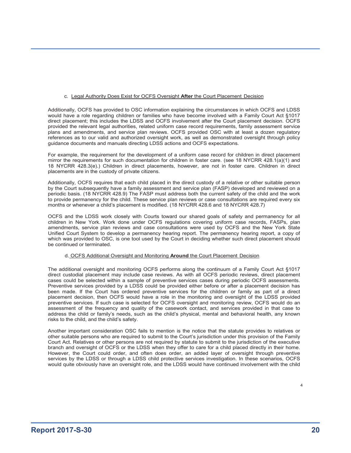#### c. Legal Authority Does Exist for OCFS Oversight **After** the Court Placement Decision

Additionally, OCFS has provided to OSC information explaining the circumstances in which OCFS and LDSS would have a role regarding children or families who have become involved with a Family Court Act §1017 direct placement; this includes the LDSS and OCFS involvement after the Court placement decision. OCFS provided the relevant legal authorities, related uniform case record requirements, family assessment service plans and amendments, and service plan reviews. OCFS provided OSC with at least a dozen regulatory references as to our valid and authorized oversight work, as well as demonstrated oversight through policy guidance documents and manuals directing LDSS actions and OCFS expectations.

For example, the requirement for the development of a uniform case record for children in direct placement mirror the requirements for such documentation for children in foster care. (see 18 NYCRR 428.1(a)(1) and 18 NYCRR 428.3(e).) Children in direct placements, however, are not in foster care. Children in direct placements are in the custody of private citizens.

Additionally, OCFS requires that each child placed in the direct custody of a relative or other suitable person by the Court subsequently have a family assessment and service plan (FASP) developed and reviewed on a periodic basis. (18 NYCRR 428.9) The FASP must address both the current safety of the child and the work to provide permanency for the child. These service plan reviews or case consultations are required every six months or whenever a child's placement is modified. (18 NYCRR 428.6 and 18 NYCRR 428.7)

OCFS and the LDSS work closely with Courts toward our shared goals of safety and permanency for all children in New York. Work done under OCFS regulations covering uniform case records, FASPs, plan amendments, service plan reviews and case consultations were used by OCFS and the New York State Unified Court System to develop a permanency hearing report. The permanency hearing report, a copy of which was provided to OSC, is one tool used by the Court in deciding whether such direct placement should be continued or terminated.

#### d. OCFS Additional Oversight and Monitoring **Around** the Court Placement Decision

The additional oversight and monitoring OCFS performs along the continuum of a Family Court Act §1017 direct custodial placement may include case reviews. As with all OCFS periodic reviews, direct placement cases could be selected within a sample of preventive services cases during periodic OCFS assessments. Preventive services provided by a LDSS could be provided either before or after a placement decision has been made. If the Court has ordered preventive services for the children or family as part of a direct placement decision, then OCFS would have a role in the monitoring and oversight of the LDSS provided preventive services. If such case is selected for OCFS oversight and monitoring review, OCFS would do an assessment of the frequency and quality of the casework contact, and services provided in that case to address the child or family's needs, such as the child's physical, mental and behavioral health, any known risks to the child, and the child's safety.

Another important consideration OSC fails to mention is the notice that the statute provides to relatives or other suitable persons who are required to submit to the Court's jurisdiction under this provision of the Family Court Act. Relatives or other persons are not required by statute to submit to the jurisdiction of the executive branch and oversight of OCFS or the LDSS when they offer to care for a child placed directly in their home. However, the Court could order, and often does order, an added layer of oversight through preventive services by the LDSS or through a LDSS child protective services investigation. In these scenarios, OCFS would quite obviously have an oversight role, and the LDSS would have continued involvement with the child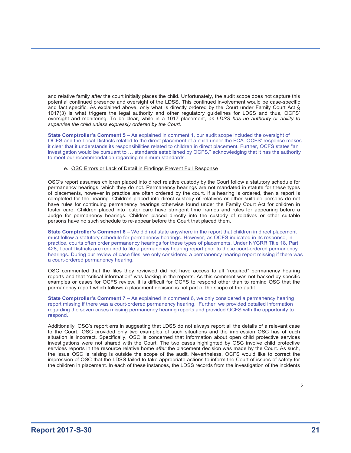and relative family *after* the court initially places the child. Unfortunately, the audit scope does not capture this potential continued presence and oversight of the LDSS. This continued involvement would be case-specific and fact specific. As explained above, only what is directly ordered by the Court under Family Court Act § 1017(3) is what triggers the legal authority and other regulatory guidelines for LDSS and thus, OCFS' oversight and monitoring. To be clear, while in a 1017 placement, *an LDSS has no authority or ability to supervise the child unless expressly ordered by the Court*.

**State Comptroller's Comment 5** – As explained in comment 1, our audit scope included the oversight of OCFS and the Local Districts related to the direct placement of a child under the FCA. OCFS' response makes it clear that it understands its responsibilities related to children in direct placement. Further, OCFS states "an investigation would be pursuant to … standards established by OCFS," acknowledging that it has the authority to meet our recommendation regarding minimum standards.

#### e. OSC Errors or Lack of Detail in Findings Prevent Full Response

OSC's report assumes children placed into direct relative custody by the Court follow a statutory schedule for permanency hearings, which they do not. Permanency hearings are not mandated in statute for these types of placements, however in practice are often ordered by the court. If a hearing is ordered, then a report is completed for the hearing. Children placed into direct custody of relatives or other suitable persons do not have rules for continuing permanency hearings otherwise found under the Family Court Act for children in foster care. Children placed into foster care have stringent time frames and rules for appearing before a Judge for permanency hearings. Children placed directly into the custody of relatives or other suitable persons have no such schedule to re-appear before the Court that placed them.

**State Comptroller's Comment 6** – We did not state anywhere in the report that children in direct placement must follow a statutory schedule for permanency hearings. However, as OCFS indicated in its response, in practice, courts often order permanency hearings for these types of placements. Under NYCRR Title 18, Part 428, Local Districts are required to file a permanency hearing report prior to these court-ordered permanency hearings. During our review of case files, we only considered a permanency hearing report missing if there was a court-ordered permanency hearing.

OSC commented that the files they reviewed did not have access to all "required" permanency hearing reports and that "critical information" was lacking in the reports. As this comment was not backed by specific examples or cases for OCFS review, it is difficult for OCFS to respond other than to remind OSC that the permanency report which follows a placement decision is not part of the scope of the audit.

**State Comptroller's Comment 7** – As explained in comment 6, we only considered a permanency hearing report missing if there was a court-ordered permanency hearing. Further, we provided detailed information regarding the seven cases missing permanency hearing reports and provided OCFS with the opportunity to respond.

Additionally, OSC's report errs in suggesting that LDSS do not always report all the details of a relevant case to the Court. OSC provided only two examples of such situations and the impression OSC has of each situation is incorrect. Specifically, OSC is concerned that information about open child protective services investigations were not shared with the Court. The two cases highlighted by OSC involve child protective services reports in the resource relative home *after* the placement decision was made by the Court. As such, the issue OSC is raising is outside the scope of the audit. Nevertheless, OCFS would like to correct the impression of OSC that the LDSS failed to take appropriate actions to inform the Court of issues of safety for the children in placement. In each of these instances, the LDSS records from the investigation of the incidents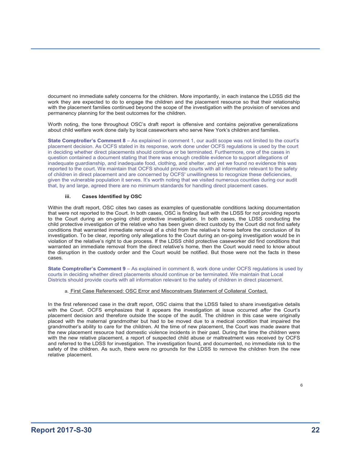document no immediate safety concerns for the children. More importantly, in each instance the LDSS did the work they are expected to do to engage the children and the placement resource so that their relationship with the placement families continued beyond the scope of the investigation with the provision of services and permanency planning for the best outcomes for the children.

Worth noting, the tone throughout OSC's draft report is offensive and contains pejorative generalizations about child welfare work done daily by local caseworkers who serve New York's children and families.

**State Comptroller's Comment 8** – As explained in comment 1, our audit scope was not limited to the court's placement decision. As OCFS stated in its response, work done under OCFS regulations is used by the court in deciding whether direct placements should continue or be terminated. Furthermore, one of the cases in question contained a document stating that there was enough credible evidence to support allegations of inadequate guardianship, and inadequate food, clothing, and shelter, and yet we found no evidence this was reported to the court. We maintain that OCFS should provide courts with all information relevant to the safety of children in direct placement and are concerned by OCFS' unwillingness to recognize these deficiencies, given the vulnerable population it serves. It's worth noting that we visited numerous counties during our audit that, by and large, agreed there are no minimum standards for handling direct placement cases.

#### **iii. Cases Identified by OSC**

Within the draft report, OSC cites two cases as examples of questionable conditions lacking documentation that were not reported to the Court. In both cases, OSC is finding fault with the LDSS for not providing reports to the Court during an on-going child protective investigation. In both cases, the LDSS conducting the child protective investigation of the relative who has been given direct custody by the Court did not find safety conditions that warranted immediate removal of a child from the relative's home before the conclusion of its investigation. To be clear, reporting only allegations to the Court during an on-going investigation would be in violation of the relative's right to due process. If the LDSS child protective caseworker did find conditions that warranted an immediate removal from the direct relative's home, then the Court would need to know about the disruption in the custody order and the Court would be notified. But those were not the facts in these cases.

**State Comptroller's Comment 9** – As explained in comment 8, work done under OCFS regulations is used by courts in deciding whether direct placements should continue or be terminated. We maintain that Local Districts should provide courts with all information relevant to the safety of children in direct placement.

#### a. First Case Referenced: OSC Error and Misconstrues Statement of Collateral Contact.

In the first referenced case in the draft report, OSC claims that the LDSS failed to share investigative details with the Court. OCFS emphasizes that it appears the investigation at issue occurred *after* the Court's placement decision and therefore outside the scope of the audit. The children in this case were originally placed with the maternal grandmother but had to be moved due to a medical condition that impaired the grandmother's ability to care for the children. At the time of new placement, the Court was made aware that the new placement resource had domestic violence incidents in their past. During the time the children were with the new relative placement, a report of suspected child abuse or maltreatment was received by OCFS and referred to the LDSS for investigation. The investigation found, and documented, no immediate risk to the safety of the children. As such, there were no grounds for the LDSS to remove the children from the new relative placement.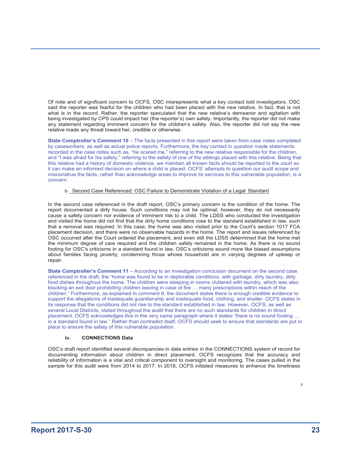Of note and of significant concern to OCFS, OSC misrepresents what a key contact told investigators. OSC said the reporter was fearful for the children who had been placed with the new relative. In fact, that is not what is in the record. Rather, the reporter speculated that the new relative's demeanor and agitation with being investigated by CPS could impact her (the reporter's) own safety. Importantly, the reporter did not make any statement regarding imminent concern for the children's safety. Also, the reporter did not say the new relative made any threat toward her, credible or otherwise.

**State Comptroller's Comment 10** – The facts presented in this report were taken from case notes completed by caseworkers, as well as actual police reports. Furthermore, the key contact in question made statements recorded in the case notes such as, "he scared me," referring to the new relative responsible for the children, and "I was afraid for his safety," referring to the safety of one of the siblings placed with this relative. Being that this relative had a history of domestic violence, we maintain all known facts should be reported to the court so it can make an informed decision on where a child is placed. OCFS' attempts to question our audit scope and misconstrue the facts, rather than acknowledge areas to improve its services to this vulnerable population, is a concern.

#### b. Second Case Referenced: OSC Failure to Demonstrate Violation of a Legal Standard

In the second case referenced in the draft report, OSC's primary concern is the condition of the home. The report documented a dirty house. Such conditions may not be optimal; however, they do not necessarily cause a safety concern nor evidence of imminent risk to a child. The LDSS who conducted the investigation and visited the home did not find that the dirty home conditions rose to the standard established in law, such that a removal was required. In this case, the home was also visited prior to the Court's section 1017 FCA placement decision, and there were no observable hazards in the home. The report and issues referenced by OSC occurred after the Court ordered the placement, and even still the LDSS determined that the home met the minimum degree of care required and the children safely remained in the home. As there is no sound footing for OSC's criticisms in a standard found in law, OSC's criticisms sound more like biased assumptions about families facing poverty; condemning those whose household are in varying degrees of upkeep or repair.

**State Comptroller's Comment 11** – According to an investigation conclusion document on the second case referenced in the draft, the "home was found to be in deplorable conditions, with garbage, dirty laundry, dirty food dishes throughout the home. The children were sleeping in rooms cluttered with laundry, which was also blocking an exit door prohibiting children leaving in case of fire … many prescriptions within reach of the children." Furthermore, as explained in comment 8, the document states there is enough credible evidence to support the allegations of inadequate guardianship and inadequate food, clothing, and shelter. OCFS states in its response that the conditions did not rise to the standard established in law. However, OCFS, as well as several Local Districts, stated throughout the audit that there are no such standards for children in direct placement. OCFS acknowledges this in the very same paragraph where it states "there is no sound footing … in a standard found in law." Rather than contradict itself, OCFS should seek to ensure that standards are put in place to ensure the safety of this vulnerable population.

#### **iv. CONNECTIONS Data**

OSC's draft report identified several discrepancies in data entries in the CONNECTIONS system of record for documenting information about children in direct placement. OCFS recognizes that the accuracy and reliability of information is a vital and critical component to oversight and monitoring. The cases pulled in the sample for this audit were from 2014 to 2017. In 2018, OCFS initiated measures to enhance the timeliness

7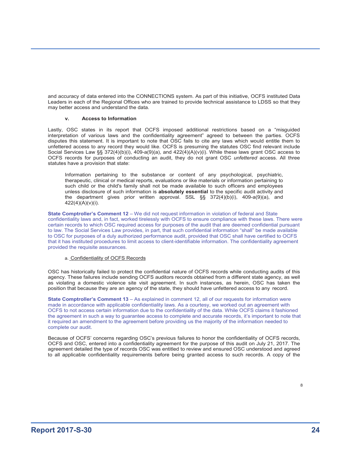and accuracy of data entered into the CONNECTIONS system. As part of this initiative, OCFS instituted Data Leaders in each of the Regional Offices who are trained to provide technical assistance to LDSS so that they may better access and understand the data.

#### **v. Access to Information**

Lastly, OSC states in its report that OCFS imposed additional restrictions based on a "misguided interpretation of various laws and the confidentiality agreement" agreed to between the parties. OCFS disputes this statement. It is important to note that OSC fails to cite any laws which would entitle them to unfettered access to any record they would like. OCFS is presuming the statutes OSC find relevant include Social Services Law §§ 372(4)(b)(i), 409-a(9)(a), and 422(4)(A)(v)(i). While these laws grant OSC access to OCFS records for purposes of conducting an audit, they do not grant OSC *unfettered* access. All three statutes have a provision that state:

Information pertaining to the substance or content of any psychological, psychiatric, therapeutic, clinical or medical reports, evaluations or like materials or information pertaining to such child or the child's family shall not be made available to such officers and employees unless disclosure of such information is **absolutely essential** to the specific audit activity and the department gives prior written approval. SSL §§ 372(4)(b)(i), 409-a(9)(a), and 422(4)(A)(v)(i).

**State Comptroller's Comment 12** – We did not request information in violation of federal and State confidentiality laws and, in fact, worked tirelessly with OCFS to ensure compliance with these laws. There were certain records to which OSC required access for purposes of the audit that are deemed confidential pursuant to law. The Social Services Law provides, in part, that such confidential information "shall" be made available to OSC for purposes of a duly authorized performance audit, provided that OSC shall have certified to OCFS that it has instituted procedures to limit access to client-identifiable information. The confidentiality agreement provided the requisite assurances.

#### a. Confidentiality of OCFS Records

OSC has historically failed to protect the confidential nature of OCFS records while conducting audits of this agency. These failures include sending OCFS auditors records obtained from a different state agency, as well as violating a domestic violence site visit agreement. In such instances, as herein, OSC has taken the position that because they are an agency of the state, they should have unfettered access to any record.

**State Comptroller's Comment 13** – As explained in comment 12, all of our requests for information were made in accordance with applicable confidentiality laws. As a courtesy, we worked out an agreement with OCFS to not access certain information due to the confidentiality of the data. While OCFS claims it fashioned the agreement in such a way to guarantee access to complete and accurate records, it's important to note that it required an amendment to the agreement before providing us the majority of the information needed to complete our audit.

Because of OCFS' concerns regarding OSC's previous failures to honor the confidentiality of OCFS records, OCFS and OSC, entered into a confidentiality agreement for the purpose of this audit on July 21, 2017. The agreement detailed the type of records OSC was entitled to review and ensured OSC understood and agreed to all applicable confidentiality requirements before being granted access to such records. A copy of the

8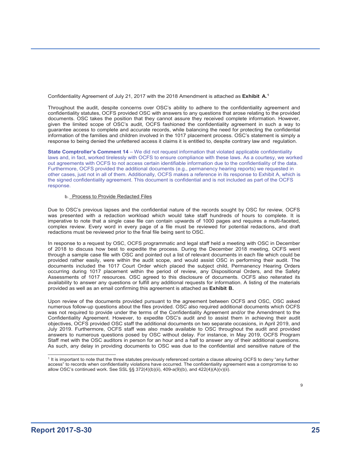Confidentiality Agreement of July 21, 2017 with the 2018 Amendment is attached as **Exhibit A.1**

Throughout the audit, despite concerns over OSC's ability to adhere to the confidentiality agreement and confidentiality statutes, OCFS provided OSC with answers to any questions that arose relating to the provided documents. OSC takes the position that they cannot assure they received complete information. However, given the limited scope of OSC's audit, OCFS fashioned the confidentiality agreement in such a way to guarantee access to complete and accurate records, while balancing the need for protecting the confidential information of the families and children involved in the 1017 placement process. OSC's statement is simply a response to being denied the unfettered access it claims it is entitled to, despite contrary law and regulation.

**State Comptroller's Comment 14** – We did not request information that violated applicable confidentiality laws and, in fact, worked tirelessly with OCFS to ensure compliance with these laws. As a courtesy, we worked out agreements with OCFS to not access certain identifiable information due to the confidentiality of the data. Furthermore, OCFS provided the additional documents (e.g., permanency hearing reports) we requested in other cases, just not in all of them. Additionally, OCFS makes a reference in its response to Exhibit A, which is the signed confidentiality agreement. This document is confidential and is not included as part of the OCFS response.

#### b. Process to Provide Redacted Files

Due to OSC's previous lapses and the confidential nature of the records sought by OSC for review, OCFS was presented with a redaction workload which would take staff hundreds of hours to complete. It is imperative to note that a single case file can contain upwards of 1000 pages and requires a multi-faceted, complex review. Every word in every page of a file must be reviewed for potential redactions, and draft redactions must be reviewed prior to the final file being sent to OSC.

In response to a request by OSC, OCFS programmatic and legal staff held a meeting with OSC in December of 2018 to discuss how best to expedite the process. During the December 2018 meeting, OCFS went through a sample case file with OSC and pointed out a list of relevant documents in each file which could be provided rather easily, were within the audit scope, and would assist OSC in performing their audit. The documents included the 1017 Court Order which placed the subject child, Permanency Hearing Orders occurring during 1017 placement within the period of review, any Dispositional Orders, and the Safety Assessments of 1017 resources. OSC agreed to this disclosure of documents. OCFS also reiterated its availability to answer any questions or fulfill any additional requests for information. A listing of the materials provided as well as an email confirming this agreement is attached as **Exhibit B.**

Upon review of the documents provided pursuant to the agreement between OCFS and OSC, OSC asked numerous follow-up questions about the files provided. OSC also required additional documents which OCFS was not required to provide under the terms of the Confidentiality Agreement and/or the Amendment to the Confidentiality Agreement. However, to expedite OSC's audit and to assist them in achieving their audit objectives, OCFS provided OSC staff the additional documents on two separate occasions, in April 2019, and July 2019. Furthermore, OCFS staff was also made available to OSC throughout the audit and provided answers to numerous questions posed by OSC without delay. For instance, in May 2019, OCFS Program Staff met with the OSC auditors in person for an hour and a half to answer any of their additional questions. As such, any delay in providing documents to OSC was due to the confidential and sensitive nature of the

 <sup>1</sup> It is important to note that the three statutes previously referenced contain a clause allowing OCFS to deny "any further access" to records when confidentiality violations have occurred. The confidentiality agreement was a compromise to so allow OSC's continued work. See SSL  $\S$ § 372(4)(b)(ii), 409-a(9)(b), and 422(4)(A)(v)(ii).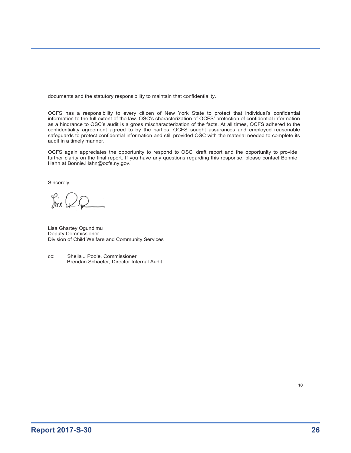documents and the statutory responsibility to maintain that confidentiality.

OCFS has a responsibility to every citizen of New York State to protect that individual's confidential information to the full extent of the law. OSC's characterization of OCFS' protection of confidential information as a hindrance to OSC's audit is a gross mischaracterization of the facts. At all times, OCFS adhered to the confidentiality agreement agreed to by the parties. OCFS sought assurances and employed reasonable safeguards to protect confidential information and still provided OSC with the material needed to complete its audit in a timely manner.

OCFS again appreciates the opportunity to respond to OSC' draft report and the opportunity to provide further clarity on the final report. If you have any questions regarding this response, please contact Bonnie Hahn at Bonnie.Hahn@ocfs.ny.gov.

Sincerely,

Lisa Ghartey Ogundimu Deputy Commissioner Division of Child Welfare and Community Services

cc: Sheila J Poole, Commissioner Brendan Schaefer, Director Internal Audit